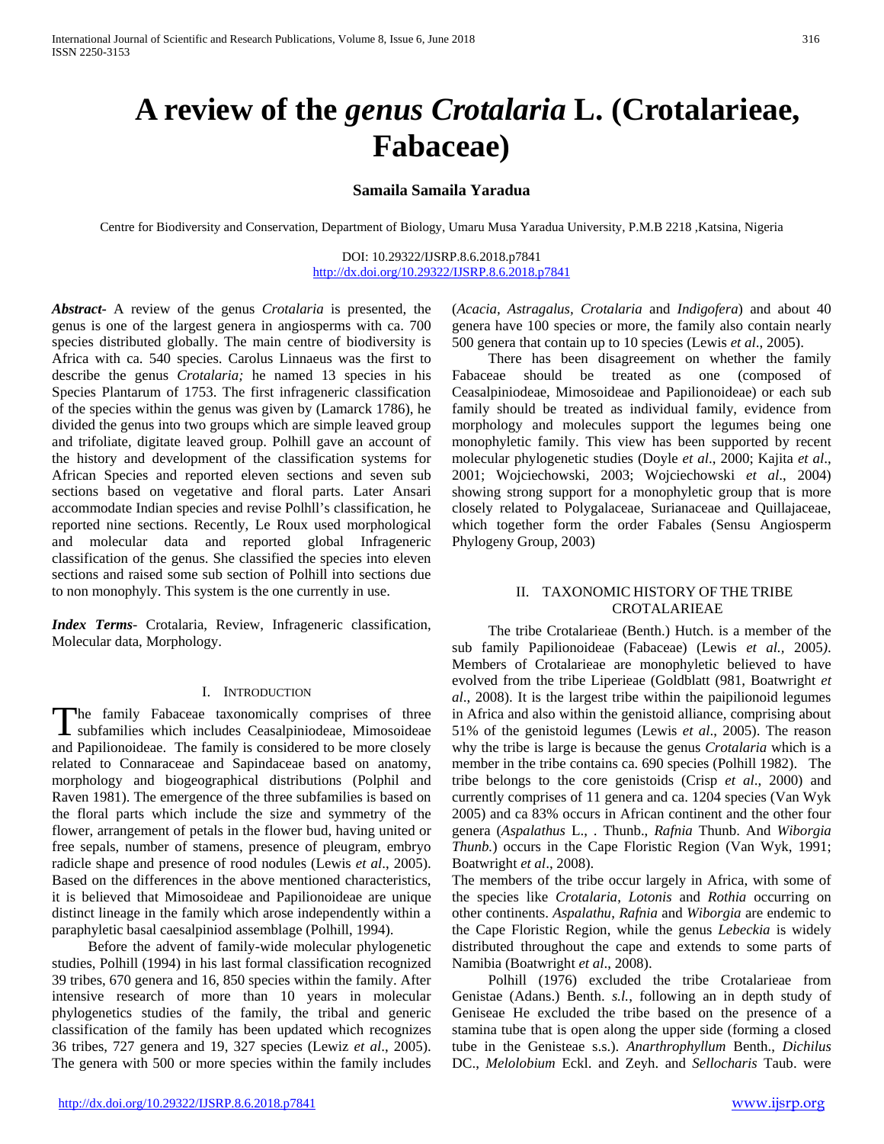# **A review of the** *genus Crotalaria* **L. (Crotalarieae, Fabaceae)**

## **Samaila Samaila Yaradua**

Centre for Biodiversity and Conservation, Department of Biology, Umaru Musa Yaradua University, P.M.B 2218 ,Katsina, Nigeria

DOI: 10.29322/IJSRP.8.6.2018.p7841 <http://dx.doi.org/10.29322/IJSRP.8.6.2018.p7841>

*Abstract***-** A review of the genus *Crotalaria* is presented, the genus is one of the largest genera in angiosperms with ca. 700 species distributed globally. The main centre of biodiversity is Africa with ca. 540 species. Carolus Linnaeus was the first to describe the genus *Crotalaria;* he named 13 species in his Species Plantarum of 1753. The first infrageneric classification of the species within the genus was given by (Lamarck 1786), he divided the genus into two groups which are simple leaved group and trifoliate, digitate leaved group. Polhill gave an account of the history and development of the classification systems for African Species and reported eleven sections and seven sub sections based on vegetative and floral parts. Later Ansari accommodate Indian species and revise Polhll's classification, he reported nine sections. Recently, Le Roux used morphological and molecular data and reported global Infrageneric classification of the genus. She classified the species into eleven sections and raised some sub section of Polhill into sections due to non monophyly. This system is the one currently in use.

*Index Terms*- Crotalaria, Review, Infrageneric classification, Molecular data, Morphology.

#### I. INTRODUCTION

The family Fabaceae taxonomically comprises of three The family Fabaceae taxonomically comprises of three subfamilies which includes Ceasalpiniodeae, Mimosoideae and Papilionoideae. The family is considered to be more closely related to Connaraceae and Sapindaceae based on anatomy, morphology and biogeographical distributions (Polphil and Raven 1981). The emergence of the three subfamilies is based on the floral parts which include the size and symmetry of the flower, arrangement of petals in the flower bud, having united or free sepals, number of stamens, presence of pleugram, embryo radicle shape and presence of rood nodules (Lewis *et al*., 2005). Based on the differences in the above mentioned characteristics, it is believed that Mimosoideae and Papilionoideae are unique distinct lineage in the family which arose independently within a paraphyletic basal caesalpiniod assemblage (Polhill, 1994).

 Before the advent of family-wide molecular phylogenetic studies, Polhill (1994) in his last formal classification recognized 39 tribes, 670 genera and 16, 850 species within the family. After intensive research of more than 10 years in molecular phylogenetics studies of the family, the tribal and generic classification of the family has been updated which recognizes 36 tribes, 727 genera and 19, 327 species (Lewiz *et al*., 2005). The genera with 500 or more species within the family includes

(*Acacia, Astragalus, Crotalaria* and *Indigofera*) and about 40 genera have 100 species or more, the family also contain nearly 500 genera that contain up to 10 species (Lewis *et al*., 2005).

 There has been disagreement on whether the family Fabaceae should be treated as one (composed of Ceasalpiniodeae, Mimosoideae and Papilionoideae) or each sub family should be treated as individual family, evidence from morphology and molecules support the legumes being one monophyletic family. This view has been supported by recent molecular phylogenetic studies (Doyle *et al*., 2000; Kajita *et al*., 2001; Wojciechowski, 2003; Wojciechowski *et al*., 2004) showing strong support for a monophyletic group that is more closely related to Polygalaceae, Surianaceae and Quillajaceae, which together form the order Fabales (Sensu Angiosperm Phylogeny Group, 2003)

#### II. TAXONOMIC HISTORY OF THE TRIBE CROTALARIEAE

 The tribe Crotalarieae (Benth.) Hutch. is a member of the sub family Papilionoideae (Fabaceae) (Lewis *et al.,* 2005*)*. Members of Crotalarieae are monophyletic believed to have evolved from the tribe Liperieae (Goldblatt (981, Boatwright *et al*., 2008). It is the largest tribe within the paipilionoid legumes in Africa and also within the genistoid alliance, comprising about 51% of the genistoid legumes (Lewis *et al*., 2005). The reason why the tribe is large is because the genus *Crotalaria* which is a member in the tribe contains ca. 690 species (Polhill 1982). The tribe belongs to the core genistoids (Crisp *et al*., 2000) and currently comprises of 11 genera and ca. 1204 species (Van Wyk 2005) and ca 83% occurs in African continent and the other four genera (*Aspalathus* L., . Thunb., *Rafnia* Thunb. And *Wiborgia Thunb.*) occurs in the Cape Floristic Region (Van Wyk, 1991; Boatwright *et al*., 2008).

The members of the tribe occur largely in Africa, with some of the species like *Crotalaria*, *Lotonis* and *Rothia* occurring on other continents. *Aspalathu*, *Rafnia* and *Wiborgia* are endemic to the Cape Floristic Region, while the genus *Lebeckia* is widely distributed throughout the cape and extends to some parts of Namibia (Boatwright *et al*., 2008).

 Polhill (1976) excluded the tribe Crotalarieae from Genistae (Adans.) Benth. *s.l.*, following an in depth study of Geniseae He excluded the tribe based on the presence of a stamina tube that is open along the upper side (forming a closed tube in the Genisteae s.s.). *Anarthrophyllum* Benth., *Dichilus*  DC., *Melolobium* Eckl. and Zeyh. and *Sellocharis* Taub. were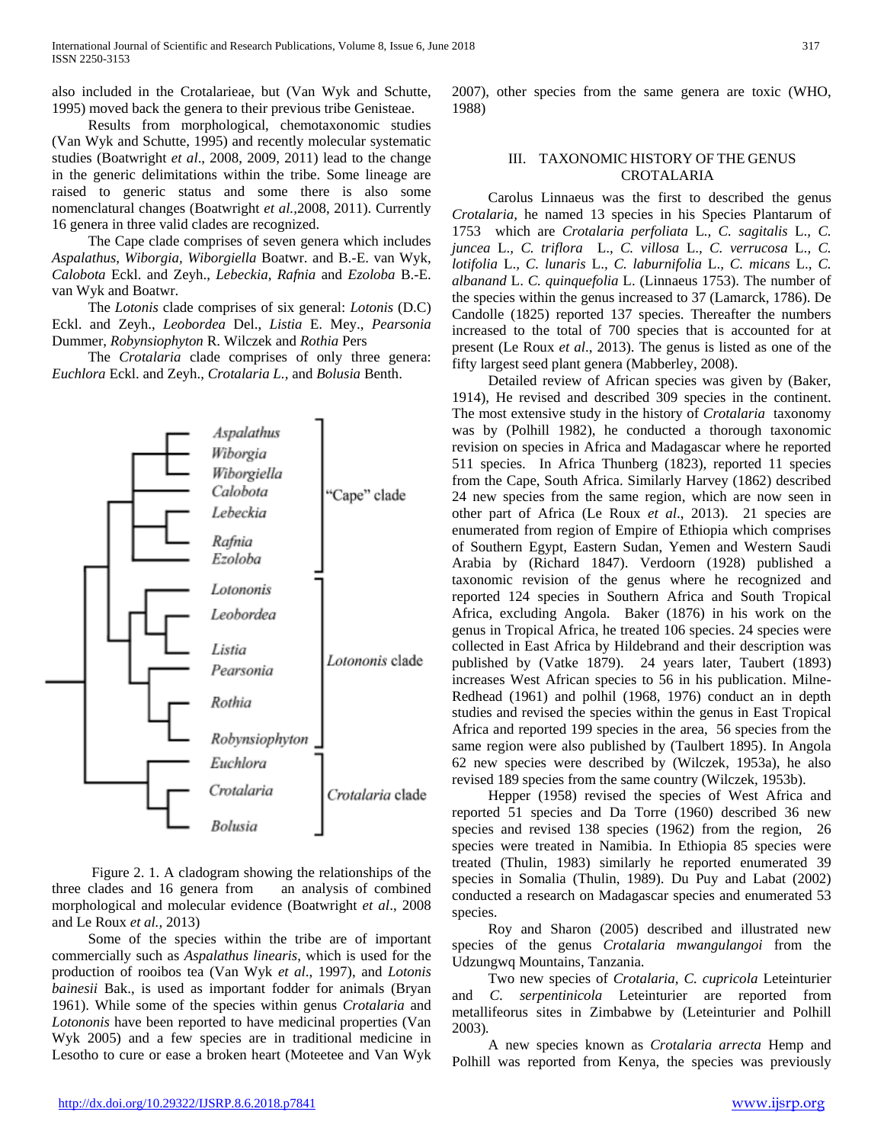also included in the Crotalarieae, but (Van Wyk and Schutte, 1995) moved back the genera to their previous tribe Genisteae.

 Results from morphological, chemotaxonomic studies (Van Wyk and Schutte, 1995) and recently molecular systematic studies (Boatwright *et al*., 2008, 2009, 2011) lead to the change in the generic delimitations within the tribe. Some lineage are raised to generic status and some there is also some nomenclatural changes (Boatwright *et al.,*2008, 2011). Currently 16 genera in three valid clades are recognized.

 The Cape clade comprises of seven genera which includes *Aspalathus*, *Wiborgia, Wiborgiella* Boatwr. and B.-E. van Wyk, *Calobota* Eckl. and Zeyh., *Lebeckia, Rafnia* and *Ezoloba* B.-E. van Wyk and Boatwr.

 The *Lotonis* clade comprises of six general: *Lotonis* (D.C) Eckl. and Zeyh., *Leobordea* Del., *Listia* E. Mey., *Pearsonia*  Dummer, *Robynsiophyton* R. Wilczek and *Rothia* Pers

 The *Crotalaria* clade comprises of only three genera: *Euchlora* Eckl. and Zeyh., *Crotalaria L.,* and *Bolusia* Benth.



 Figure 2. 1. A cladogram showing the relationships of the three clades and 16 genera from an analysis of combined morphological and molecular evidence (Boatwright *et al*., 2008 and Le Roux *et al.,* 2013)

 Some of the species within the tribe are of important commercially such as *Aspalathus linearis*, which is used for the production of rooibos tea (Van Wyk *et al*., 1997), and *Lotonis bainesii* Bak., is used as important fodder for animals (Bryan 1961). While some of the species within genus *Crotalaria* and *Lotononis* have been reported to have medicinal properties (Van Wyk 2005) and a few species are in traditional medicine in Lesotho to cure or ease a broken heart (Moteetee and Van Wyk

2007), other species from the same genera are toxic (WHO, 1988)

## III. TAXONOMIC HISTORY OF THE GENUS CROTALARIA

 Carolus Linnaeus was the first to described the genus *Crotalaria,* he named 13 species in his Species Plantarum of 1753 which are *Crotalaria perfoliata* L*., C. sagitalis* L.*, C. juncea* L.*, C. triflora* L.*, C. villosa* L.*, C. verrucosa* L.*, C. lotifolia* L.*, C. lunaris* L.*, C. laburnifolia* L.*, C. micans* L.*, C. albanand* L. *C. quinquefolia* L. (Linnaeus 1753). The number of the species within the genus increased to 37 (Lamarck, 1786). De Candolle (1825) reported 137 species. Thereafter the numbers increased to the total of 700 species that is accounted for at present (Le Roux *et al*., 2013). The genus is listed as one of the fifty largest seed plant genera (Mabberley, 2008).

 Detailed review of African species was given by (Baker, 1914), He revised and described 309 species in the continent. The most extensive study in the history of *Crotalaria* taxonomy was by (Polhill 1982), he conducted a thorough taxonomic revision on species in Africa and Madagascar where he reported 511 species. In Africa Thunberg (1823), reported 11 species from the Cape, South Africa. Similarly Harvey (1862) described 24 new species from the same region, which are now seen in other part of Africa (Le Roux *et al*., 2013). 21 species are enumerated from region of Empire of Ethiopia which comprises of Southern Egypt, Eastern Sudan, Yemen and Western Saudi Arabia by (Richard 1847). Verdoorn (1928) published a taxonomic revision of the genus where he recognized and reported 124 species in Southern Africa and South Tropical Africa, excluding Angola. Baker (1876) in his work on the genus in Tropical Africa, he treated 106 species. 24 species were collected in East Africa by Hildebrand and their description was published by (Vatke 1879). 24 years later, Taubert (1893) increases West African species to 56 in his publication. Milne-Redhead (1961) and polhil (1968, 1976) conduct an in depth studies and revised the species within the genus in East Tropical Africa and reported 199 species in the area, 56 species from the same region were also published by (Taulbert 1895). In Angola 62 new species were described by (Wilczek, 1953a), he also revised 189 species from the same country (Wilczek, 1953b).

 Hepper (1958) revised the species of West Africa and reported 51 species and Da Torre (1960) described 36 new species and revised 138 species (1962) from the region, 26 species were treated in Namibia. In Ethiopia 85 species were treated (Thulin, 1983) similarly he reported enumerated 39 species in Somalia (Thulin, 1989). Du Puy and Labat (2002) conducted a research on Madagascar species and enumerated 53 species.

 Roy and Sharon (2005) described and illustrated new species of the genus *Crotalaria mwangulangoi* from the Udzungwq Mountains, Tanzania.

 Two new species of *Crotalaria, C. cupricola* Leteinturier and *C*. *serpentinicola* Leteinturier are reported from metallifeorus sites in Zimbabwe by (Leteinturier and Polhill 2003)*.* 

 A new species known as *Crotalaria arrecta* Hemp and Polhill was reported from Kenya, the species was previously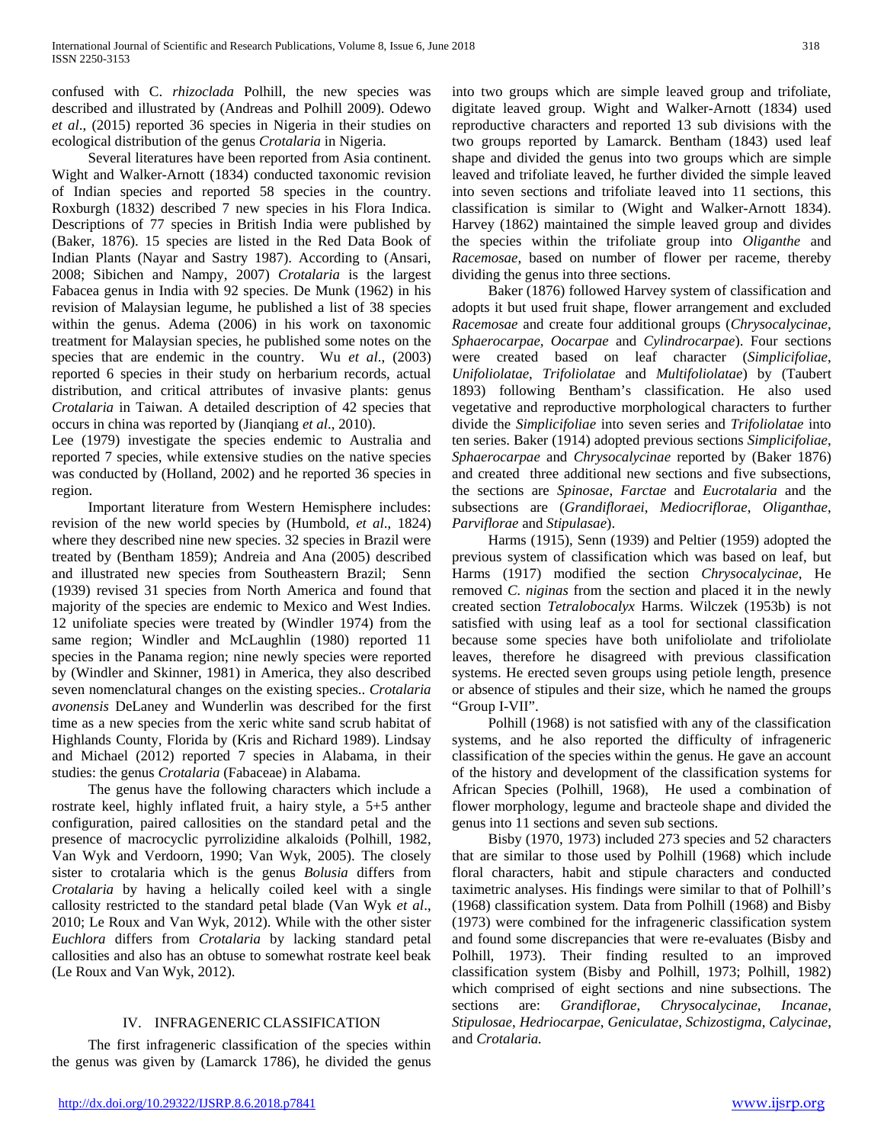confused with C. *rhizoclada* Polhill, the new species was described and illustrated by (Andreas and Polhill 2009). Odewo *et al*., (2015) reported 36 species in Nigeria in their studies on ecological distribution of the genus *Crotalaria* in Nigeria.

 Several literatures have been reported from Asia continent. Wight and Walker-Arnott (1834) conducted taxonomic revision of Indian species and reported 58 species in the country. Roxburgh (1832) described 7 new species in his Flora Indica. Descriptions of 77 species in British India were published by (Baker, 1876). 15 species are listed in the Red Data Book of Indian Plants (Nayar and Sastry 1987). According to (Ansari, 2008; Sibichen and Nampy, 2007) *Crotalaria* is the largest Fabacea genus in India with 92 species. De Munk (1962) in his revision of Malaysian legume, he published a list of 38 species within the genus. Adema (2006) in his work on taxonomic treatment for Malaysian species, he published some notes on the species that are endemic in the country. Wu *et al*., (2003) reported 6 species in their study on herbarium records, actual distribution, and critical attributes of invasive plants: genus *Crotalaria* in Taiwan. A detailed description of 42 species that occurs in china was reported by (Jianqiang *et al*., 2010).

Lee (1979) investigate the species endemic to Australia and reported 7 species, while extensive studies on the native species was conducted by (Holland, 2002) and he reported 36 species in region.

 Important literature from Western Hemisphere includes: revision of the new world species by (Humbold, *et al*., 1824) where they described nine new species. 32 species in Brazil were treated by (Bentham 1859); Andreia and Ana (2005) described and illustrated new species from Southeastern Brazil; Senn (1939) revised 31 species from North America and found that majority of the species are endemic to Mexico and West Indies. 12 unifoliate species were treated by (Windler 1974) from the same region; Windler and McLaughlin (1980) reported 11 species in the Panama region; nine newly species were reported by (Windler and Skinner, 1981) in America, they also described seven nomenclatural changes on the existing species.. *Crotalaria avonensis* DeLaney and Wunderlin was described for the first time as a new species from the xeric white sand scrub habitat of Highlands County, Florida by (Kris and Richard 1989). Lindsay and Michael (2012) reported 7 species in Alabama, in their studies: the genus *Crotalaria* (Fabaceae) in Alabama.

 The genus have the following characters which include a rostrate keel, highly inflated fruit, a hairy style, a 5+5 anther configuration, paired callosities on the standard petal and the presence of macrocyclic pyrrolizidine alkaloids (Polhill, 1982, Van Wyk and Verdoorn, 1990; Van Wyk, 2005). The closely sister to crotalaria which is the genus *Bolusia* differs from *Crotalaria* by having a helically coiled keel with a single callosity restricted to the standard petal blade (Van Wyk *et al*., 2010; Le Roux and Van Wyk, 2012). While with the other sister *Euchlora* differs from *Crotalaria* by lacking standard petal callosities and also has an obtuse to somewhat rostrate keel beak (Le Roux and Van Wyk, 2012).

## IV. INFRAGENERIC CLASSIFICATION

 The first infrageneric classification of the species within the genus was given by (Lamarck 1786), he divided the genus into two groups which are simple leaved group and trifoliate, digitate leaved group. Wight and Walker-Arnott (1834) used reproductive characters and reported 13 sub divisions with the two groups reported by Lamarck. Bentham (1843) used leaf shape and divided the genus into two groups which are simple leaved and trifoliate leaved, he further divided the simple leaved into seven sections and trifoliate leaved into 11 sections, this classification is similar to (Wight and Walker-Arnott 1834). Harvey (1862) maintained the simple leaved group and divides the species within the trifoliate group into *Oliganthe* and *Racemosae*, based on number of flower per raceme, thereby dividing the genus into three sections.

 Baker (1876) followed Harvey system of classification and adopts it but used fruit shape, flower arrangement and excluded *Racemosae* and create four additional groups (*Chrysocalycinae, Sphaerocarpae, Oocarpae* and *Cylindrocarpae*). Four sections were created based on leaf character (*Simplicifoliae*, *Unifoliolatae*, *Trifoliolatae* and *Multifoliolatae*) by (Taubert 1893) following Bentham's classification. He also used vegetative and reproductive morphological characters to further divide the *Simplicifoliae* into seven series and *Trifoliolatae* into ten series. Baker (1914) adopted previous sections *Simplicifoliae*, *Sphaerocarpae* and *Chrysocalycinae* reported by (Baker 1876) and created three additional new sections and five subsections, the sections are *Spinosae*, *Farctae* and *Eucrotalaria* and the subsections are (*Grandifloraei*, *Mediocriflorae*, *Oliganthae*, *Parviflorae* and *Stipulasae*).

 Harms (1915), Senn (1939) and Peltier (1959) adopted the previous system of classification which was based on leaf, but Harms (1917) modified the section *Chrysocalycinae*, He removed *C. niginas* from the section and placed it in the newly created section *Tetralobocalyx* Harms. Wilczek (1953b) is not satisfied with using leaf as a tool for sectional classification because some species have both unifoliolate and trifoliolate leaves, therefore he disagreed with previous classification systems. He erected seven groups using petiole length, presence or absence of stipules and their size, which he named the groups "Group I-VII".

 Polhill (1968) is not satisfied with any of the classification systems, and he also reported the difficulty of infrageneric classification of the species within the genus. He gave an account of the history and development of the classification systems for African Species (Polhill, 1968), He used a combination of flower morphology, legume and bracteole shape and divided the genus into 11 sections and seven sub sections.

 Bisby (1970, 1973) included 273 species and 52 characters that are similar to those used by Polhill (1968) which include floral characters, habit and stipule characters and conducted taximetric analyses. His findings were similar to that of Polhill's (1968) classification system. Data from Polhill (1968) and Bisby (1973) were combined for the infrageneric classification system and found some discrepancies that were re-evaluates (Bisby and Polhill, 1973). Their finding resulted to an improved classification system (Bisby and Polhill, 1973; Polhill, 1982) which comprised of eight sections and nine subsections. The sections are: *Grandiflorae*, *Chrysocalycinae*, *Incanae*, *Stipulosae*, *Hedriocarpae*, *Geniculatae*, *Schizostigma*, *Calycinae*, and *Crotalaria.*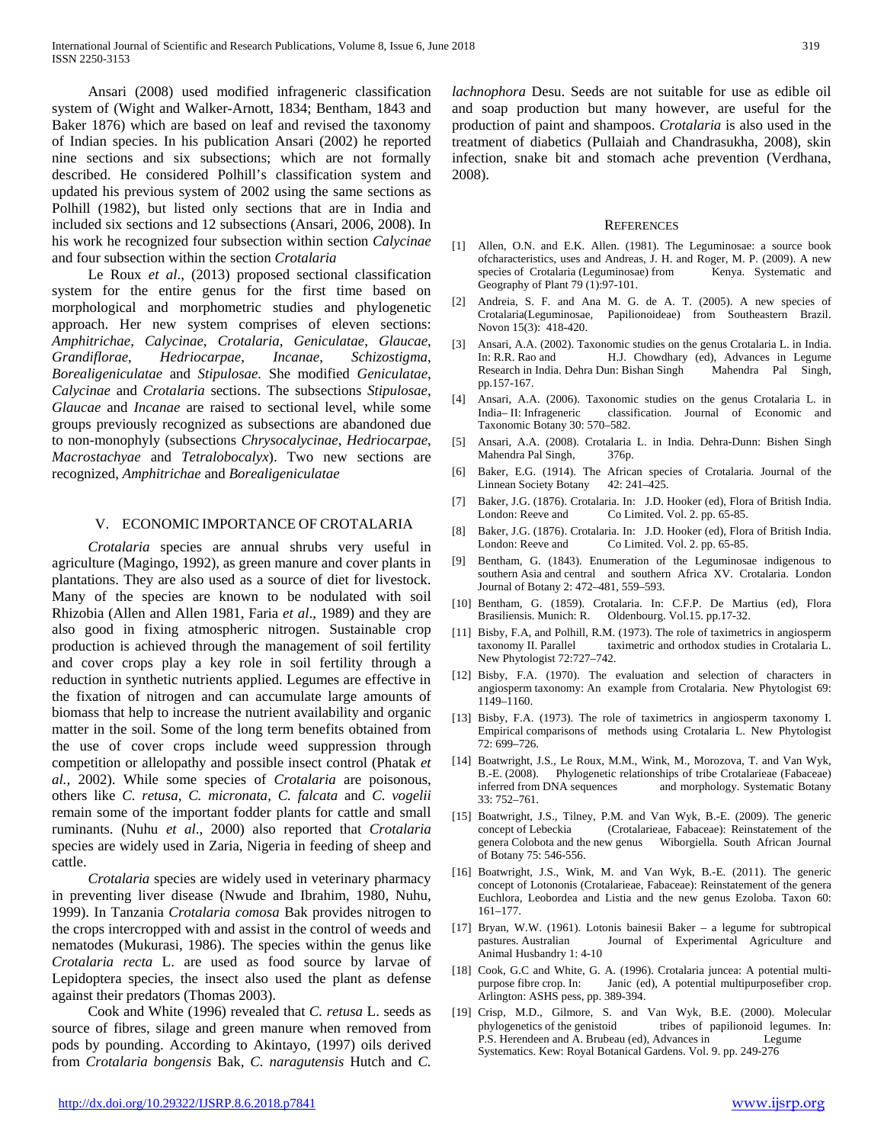Ansari (2008) used modified infrageneric classification system of (Wight and Walker-Arnott, 1834; Bentham, 1843 and Baker 1876) which are based on leaf and revised the taxonomy of Indian species. In his publication Ansari (2002) he reported nine sections and six subsections; which are not formally described. He considered Polhill's classification system and updated his previous system of 2002 using the same sections as Polhill (1982), but listed only sections that are in India and included six sections and 12 subsections (Ansari, 2006, 2008). In his work he recognized four subsection within section *Calycinae* and four subsection within the section *Crotalaria*

 Le Roux *et al*., (2013) proposed sectional classification system for the entire genus for the first time based on morphological and morphometric studies and phylogenetic approach. Her new system comprises of eleven sections: *Amphitrichae*, *Calycinae*, *Crotalaria*, *Geniculatae*, *Glaucae*, *Grandiflorae*, *Hedriocarpae*, *Incanae*, *Schizostigma*, *Borealigeniculatae* and *Stipulosae.* She modified *Geniculatae*, *Calycinae* and *Crotalaria* sections. The subsections *Stipulosae*, *Glaucae* and *Incanae* are raised to sectional level, while some groups previously recognized as subsections are abandoned due to non-monophyly (subsections *Chrysocalycinae*, *Hedriocarpae*, *Macrostachyae* and *Tetralobocalyx*). Two new sections are recognized, *Amphitrichae* and *Borealigeniculatae*

## V. ECONOMIC IMPORTANCE OF CROTALARIA

 *Crotalaria* species are annual shrubs very useful in agriculture (Magingo, 1992), as green manure and cover plants in plantations. They are also used as a source of diet for livestock. Many of the species are known to be nodulated with soil Rhizobia (Allen and Allen 1981, Faria *et al*., 1989) and they are also good in fixing atmospheric nitrogen. Sustainable crop production is achieved through the management of soil fertility and cover crops play a key role in soil fertility through a reduction in synthetic nutrients applied. Legumes are effective in the fixation of nitrogen and can accumulate large amounts of biomass that help to increase the nutrient availability and organic matter in the soil. Some of the long term benefits obtained from the use of cover crops include weed suppression through competition or allelopathy and possible insect control (Phatak *et al.,* 2002). While some species of *Crotalaria* are poisonous, others like *C. retusa, C. micronata, C. falcata* and *C. vogelii*  remain some of the important fodder plants for cattle and small ruminants. (Nuhu *et al*., 2000) also reported that *Crotalaria* species are widely used in Zaria, Nigeria in feeding of sheep and cattle.

 *Crotalaria* species are widely used in veterinary pharmacy in preventing liver disease (Nwude and Ibrahim, 1980, Nuhu, 1999). In Tanzania *Crotalaria comosa* Bak provides nitrogen to the crops intercropped with and assist in the control of weeds and nematodes (Mukurasi, 1986). The species within the genus like *Crotalaria recta* L. are used as food source by larvae of Lepidoptera species, the insect also used the plant as defense against their predators (Thomas 2003).

 Cook and White (1996) revealed that *C. retusa* L. seeds as source of fibres, silage and green manure when removed from pods by pounding. According to Akintayo, (1997) oils derived from *Crotalaria bongensis* Bak*, C. naragutensis* Hutch and *C.* 

*lachnophora* Desu. Seeds are not suitable for use as edible oil and soap production but many however, are useful for the production of paint and shampoos. *Crotalaria* is also used in the treatment of diabetics (Pullaiah and Chandrasukha, 2008), skin infection, snake bit and stomach ache prevention (Verdhana, 2008).

#### **REFERENCES**

- [1] Allen, O.N. and E.K. Allen. (1981). The Leguminosae: a source book ofcharacteristics, uses and Andreas, J. H. and Roger, M. P. (2009). A new species of Crotalaria (Leguminosae) from Geography of Plant 79 (1):97-101.
- [2] Andreia, S. F. and Ana M. G. de A. T. (2005). A new species of Crotalaria(Leguminosae, Papilionoideae) from Southeastern Brazil. Novon 15(3): 418-420.
- [3] Ansari, A.A. (2002). Taxonomic studies on the genus Crotalaria L. in India. In: R.R. Rao and H.J. Chowdhary (ed), Advances in Legume Research in India. Dehra Dun: Bishan Singh Mahendra Pal Singh, pp.157-167.
- [4] Ansari, A.A. (2006). Taxonomic studies on the genus Crotalaria L. in classification. Journal of Economic and Taxonomic Botany 30: 570–582.
- [5] Ansari, A.A. (2008). Crotalaria L. in India. Dehra-Dunn: Bishen Singh Mahendra Pal Singh, 376p.
- [6] Baker, E.G. (1914). The African species of Crotalaria. Journal of the Linnean Society Botany 42: 241–425.
- [7] Baker, J.G. (1876). Crotalaria. In: J.D. Hooker (ed), Flora of British India. London: Reeve and Co Limited. Vol. 2. pp. 65-85.
- [8] Baker, J.G. (1876). Crotalaria. In: J.D. Hooker (ed), Flora of British India. London: Reeve and Co Limited. Vol. 2. pp. 65-85.
- [9] Bentham, G. (1843). Enumeration of the Leguminosae indigenous to southern Asia and central and southern Africa XV. Crotalaria. London Journal of Botany 2: 472–481, 559–593.
- [10] Bentham, G. (1859). Crotalaria. In: C.F.P. De Martius (ed), Flora Brasiliensis. Munich: R. Oldenbourg. Vol.15. pp.17-32.
- [11] Bisby, F.A, and Polhill, R.M. (1973). The role of taximetrics in angiosperm taxonomy II. Parallel taximetric and orthodox studies in Crotalaria L. New Phytologist 72:727–742.
- [12] Bisby, F.A. (1970). The evaluation and selection of characters in angiosperm taxonomy: An example from Crotalaria. New Phytologist 69: 1149–1160.
- [13] Bisby, F.A. (1973). The role of taximetrics in angiosperm taxonomy I. Empirical comparisons of methods using Crotalaria L. New Phytologist 72: 699–726.
- [14] Boatwright, J.S., Le Roux, M.M., Wink, M., Morozova, T. and Van Wyk, B.-E. (2008). Phylogenetic relationships of tribe Crotalarieae (Fabaceae) inferred from DNA sequences and morphology. Systematic Botany and morphology. Systematic Botany 33: 752–761.
- [15] Boatwright, J.S., Tilney, P.M. and Van Wyk, B.-E. (2009). The generic concept of Lebeckia (Crotalarieae, Fabaceae): Reinstatement of the genera Colobota and the new genus Wiborgiella. South African Journal of Botany 75: 546-556.
- [16] Boatwright, J.S., Wink, M. and Van Wyk, B.-E. (2011). The generic concept of Lotononis (Crotalarieae, Fabaceae): Reinstatement of the genera Euchlora, Leobordea and Listia and the new genus Ezoloba. Taxon 60: 161–177.
- [17] Bryan, W.W. (1961). Lotonis bainesii Baker a legume for subtropical Journal of Experimental Agriculture and Animal Husbandry 1: 4-10
- [18] Cook, G.C and White, G. A. (1996). Crotalaria juncea: A potential multipurpose fibre crop. In: Janic (ed), A potential multipurposefiber crop. Arlington: ASHS pess, pp. 389-394.
- [19] Crisp, M.D., Gilmore, S. and Van Wyk, B.E. (2000). Molecular phylogenetics of the genistoid tribes of papilionoid legumes. In: P.S. Herendeen and A. Brubeau (ed), Advances in Legume Systematics. Kew: Royal Botanical Gardens. Vol. 9. pp. 249-276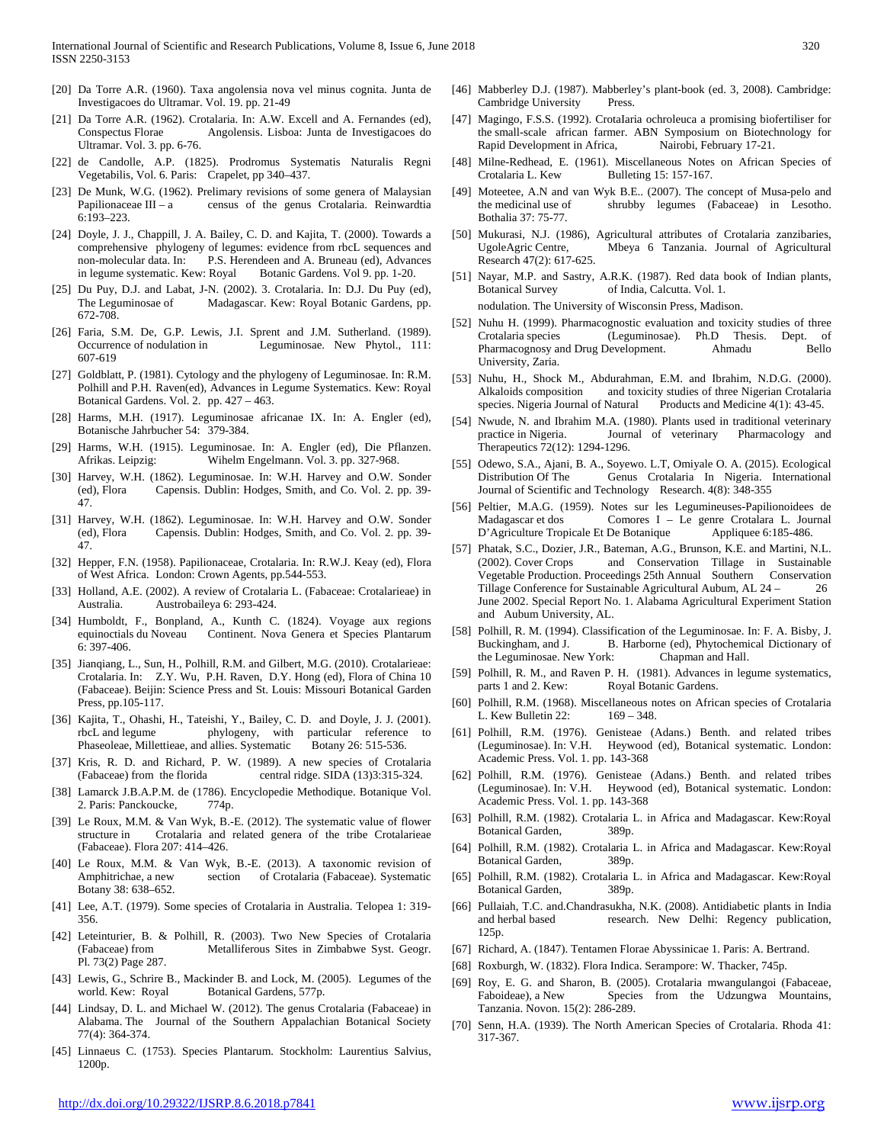- [20] Da Torre A.R. (1960). Taxa angolensia nova vel minus cognita. Junta de Investigacoes do Ultramar. Vol. 19. pp. 21-49
- [21] Da Torre A.R. (1962). Crotalaria. In: A.W. Excell and A. Fernandes (ed), Conspectus Florae Angolensis. Lisboa: Junta de Investigacoes do Ultramar. Vol. 3. pp. 6-76.
- [22] de Candolle, A.P. (1825). Prodromus Systematis Naturalis Regni Vegetabilis, Vol. 6. Paris: Crapelet, pp 340–437.
- [23] De Munk, W.G. (1962). Prelimary revisions of some genera of Malaysian Papilionaceae III – a census of the genus Crotalaria. Reinwardtia 6:193–223.
- [24] Doyle, J. J., Chappill, J. A. Bailey, C. D. and Kajita, T. (2000). Towards a comprehensive phylogeny of legumes: evidence from rbcL sequences and non-molecular data. In: P.S. Herendeen and A. Bruneau (ed), Advances in legume systematic. Kew: Royal Botanic Gardens. Vol 9. pp. 1-20.
- [25] Du Puy, D.J. and Labat, J-N. (2002). 3. Crotalaria. In: D.J. Du Puy (ed), The Leguminosae of Madagascar. Kew: Royal Botanic Gardens, pp. 672-708.
- [26] Faria, S.M. De, G.P. Lewis, J.I. Sprent and J.M. Sutherland. (1989). Occurrence of nodulation in Leguminosae. New Phytol., 111: 607-619
- [27] Goldblatt, P. (1981). Cytology and the phylogeny of Leguminosae. In: R.M. Polhill and P.H. Raven(ed), Advances in Legume Systematics. Kew: Royal Botanical Gardens. Vol. 2. pp. 427 – 463.
- [28] Harms, M.H. (1917). Leguminosae africanae IX. In: A. Engler (ed), Botanische Jahrbucher 54: 379-384.
- [29] Harms, W.H. (1915). Leguminosae. In: A. Engler (ed), Die Pflanzen. Afrikas. Leipzig: Wihelm Engelmann. Vol. 3. pp. 327-968.
- [30] Harvey, W.H. (1862). Leguminosae. In: W.H. Harvey and O.W. Sonder (ed), Flora Capensis. Dublin: Hodges, Smith, and Co. Vol. 2. pp. 39- 47.
- [31] Harvey, W.H. (1862). Leguminosae. In: W.H. Harvey and O.W. Sonder (ed), Flora Capensis. Dublin: Hodges, Smith, and Co. Vol. 2. pp. 39- 47.
- [32] Hepper, F.N. (1958). Papilionaceae, Crotalaria. In: R.W.J. Keay (ed), Flora of West Africa. London: Crown Agents, pp.544-553.
- [33] Holland, A.E. (2002). A review of Crotalaria L. (Fabaceae: Crotalarieae) in Australia. Austrobaileya 6: 293-424.
- [34] Humboldt, F., Bonpland, A., Kunth C. (1824). Voyage aux regions equinoctials du Noveau Continent. Nova Genera et Species Plantarum 6: 397-406.
- [35] Jianqiang, L., Sun, H., Polhill, R.M. and Gilbert, M.G. (2010). Crotalarieae: Crotalaria. In: Z.Y. Wu, P.H. Raven, D.Y. Hong (ed), Flora of China 10 (Fabaceae). Beijin: Science Press and St. Louis: Missouri Botanical Garden Press, pp.105-117.
- [36] Kajita, T., Ohashi, H., Tateishi, Y., Bailey, C. D. and Doyle, J. J. (2001). rbcL and legume phylogeny, with particular reference to Phaseoleae, Millettieae, and allies. Systematic Botany 26: 515-536.
- [37] Kris, R. D. and Richard, P. W. (1989). A new species of Crotalaria (Fabaceae) from the florida central ridge. SIDA (13)3:315-324.
- [38] Lamarck J.B.A.P.M. de (1786). Encyclopedie Methodique. Botanique Vol. 2. Paris: Panckoucke, 774p.
- [39] Le Roux, M.M. & Van Wyk, B.-E. (2012). The systematic value of flower structure in Crotalaria and related genera of the tribe Crotalarieae (Fabaceae). Flora 207: 414–426.
- [40] Le Roux, M.M. & Van Wyk, B.-E. (2013). A taxonomic revision of Amphitrichae, a new section of Crotalaria (Fabaceae). Systematic Botany 38: 638–652.
- [41] Lee, A.T. (1979). Some species of Crotalaria in Australia. Telopea 1: 319- 356.
- [42] Leteinturier, B. & Polhill, R. (2003). Two New Species of Crotalaria (Fabaceae) from Metalliferous Sites in Zimbabwe Syst. Geogr. Pl. 73(2) Page 287.
- [43] Lewis, G., Schrire B., Mackinder B. and Lock, M. (2005). Legumes of the world. Kew: Royal Botanical Gardens, 577p.
- [44] Lindsay, D. L. and Michael W. (2012). The genus Crotalaria (Fabaceae) in Alabama. The Journal of the Southern Appalachian Botanical Society 77(4): 364-374.
- [45] Linnaeus C. (1753). Species Plantarum. Stockholm: Laurentius Salvius, 1200p.
- [46] Mabberley D.J. (1987). Mabberley's plant-book (ed. 3, 2008). Cambridge: Cambridge University Press.
- [47] Magingo, F.S.S. (1992). CrotaIaria ochroleuca a promising biofertiliser for the small-scale african farmer. ABN Symposium on Biotechnology for Rapid Development in Africa, Nairobi, February 17-21.
- [48] Milne-Redhead, E. (1961). Miscellaneous Notes on African Species of Crotalaria L. Kew Bulleting 15: 157-167.
- [49] Moteetee, A.N and van Wyk B.E.. (2007). The concept of Musa-pelo and the medicinal use of shrubby legumes (Fabaceae) in Lesotho. Bothalia 37: 75-77.
- [50] Mukurasi, N.J. (1986), Agricultural attributes of Crotalaria zanzibaries, UgoleAgric Centre, Mbeya 6 Tanzania. Journal of Agricultural Research 47(2): 617-625.
- [51] Nayar, M.P. and Sastry, A.R.K. (1987). Red data book of Indian plants, Botanical Survey of India, Calcutta. Vol. 1.

nodulation. The University of Wisconsin Press, Madison.

- [52] Nuhu H. (1999). Pharmacognostic evaluation and toxicity studies of three Crotalaria species (Leguminosae). Ph.D Thesis. Dept. of Pharmacognosy and Drug Development. Ahmadu Bello University, Zaria.
- [53] Nuhu, H., Shock M., Abdurahman, E.M. and Ibrahim, N.D.G. (2000). Alkaloids composition and toxicity studies of three Nigerian Crotalaria species. Nigeria Journal of Natural Products and Medicine 4(1): 43-45. Products and Medicine  $4(1)$ : 43-45.
- [54] Nwude, N. and Ibrahim M.A. (1980). Plants used in traditional veterinary practice in Nigeria. Journal of veterinary Pharmacology and Therapeutics 72(12): 1294-1296.
- [55] Odewo, S.A., Ajani, B. A., Soyewo. L.T, Omiyale O. A. (2015). Ecological Distribution Of The Genus Crotalaria In Nigeria. International Journal of Scientific and Technology Research. 4(8): 348-355
- [56] Peltier, M.A.G. (1959). Notes sur les Legumineuses-Papilionoidees de Madagascar et dos Comores I – Le genre Crotalara L. Journal D'Agriculture Tropicale Et De Botanique Appliquee 6:185-486.
- [57] Phatak, S.C., Dozier, J.R., Bateman, A.G., Brunson, K.E. and Martini, N.L. (2002). Cover Crops and Conservation Tillage in Sustainable Vegetable Production. Proceedings 25th Annual Southern Conservation Tillage Conference for Sustainable Agricultural Aubum, AL 24 – 26 June 2002. Special Report No. 1. Alabama Agricultural Experiment Station and Aubum University, AL.
- [58] Polhill, R. M. (1994). Classification of the Leguminosae. In: F. A. Bisby, J. Buckingham, and J. B. Harborne (ed), Phytochemical Dictionary of the Leguminosae. New York: Chapman and Hall.
- [59] Polhill, R. M., and Raven P. H. (1981). Advances in legume systematics, parts 1 and 2. Kew: Royal Botanic Gardens.
- [60] Polhill, R.M. (1968). Miscellaneous notes on African species of Crotalaria L. Kew Bulletin 22: 169 – 348.
- [61] Polhill, R.M. (1976). Genisteae (Adans.) Benth. and related tribes (Leguminosae). In: V.H. Heywood (ed), Botanical systematic. London: Academic Press. Vol. 1. pp. 143-368
- [62] Polhill, R.M. (1976). Genisteae (Adans.) Benth. and related tribes (Leguminosae). In: V.H. Heywood (ed), Botanical systematic. London: Academic Press. Vol. 1. pp. 143-368
- [63] Polhill, R.M. (1982). Crotalaria L. in Africa and Madagascar. Kew:Royal Botanical Garden, 389p.
- [64] Polhill, R.M. (1982). Crotalaria L. in Africa and Madagascar. Kew:Royal Botanical Garden, 389p.
- [65] Polhill, R.M. (1982). Crotalaria L. in Africa and Madagascar. Kew:Royal Botanical Garden, 389p.
- [66] Pullaiah, T.C. and.Chandrasukha, N.K. (2008). Antidiabetic plants in India research. New Delhi: Regency publication, 125p.
- [67] Richard, A. (1847). Tentamen Florae Abyssinicae 1. Paris: A. Bertrand.
- [68] Roxburgh, W. (1832). Flora Indica. Serampore: W. Thacker, 745p.
- [69] Roy, E. G. and Sharon, B. (2005). Crotalaria mwangulangoi (Fabaceae, Faboideae), a New Species from the Udzungwa Mountains, Tanzania. Novon. 15(2): 286-289.
- [70] Senn, H.A. (1939). The North American Species of Crotalaria. Rhoda 41: 317-367.